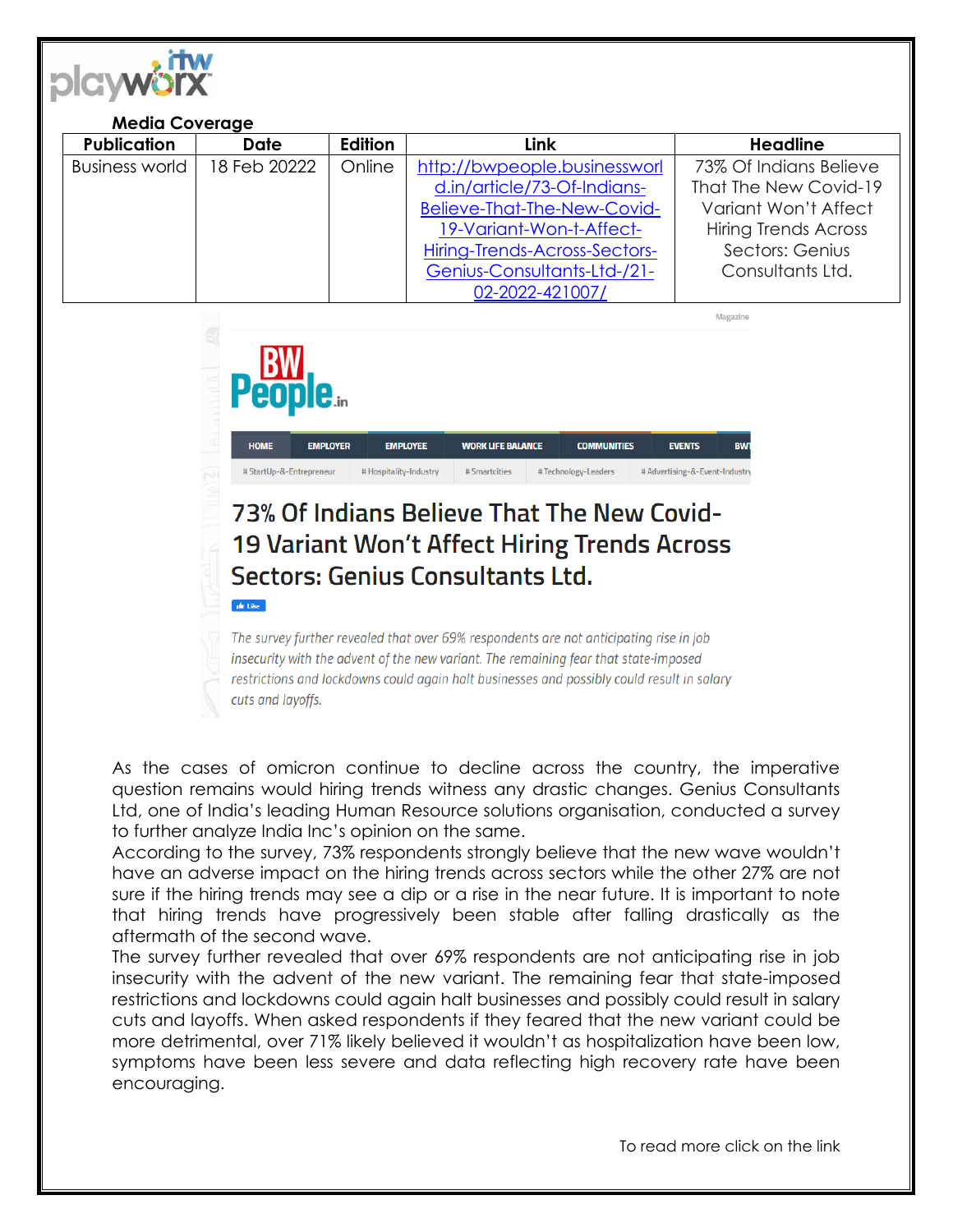

**ufr** Like

| <b>Media Coverage</b> |              |         |                               |                             |
|-----------------------|--------------|---------|-------------------------------|-----------------------------|
| <b>Publication</b>    | <b>Date</b>  | Edition | Link                          | <b>Headline</b>             |
| <b>Business world</b> | 18 Feb 20222 | Online  | http://bwpeople.businessworl  | 73% Of Indians Believe      |
|                       |              |         | d.in/article/73-Of-Indians-   | That The New Covid-19       |
|                       |              |         | Believe-That-The-New-Covid-   | Variant Won't Affect        |
|                       |              |         | 19-Variant-Won-t-Affect-      | <b>Hiring Trends Across</b> |
|                       |              |         | Hiring-Trends-Across-Sectors- | Sectors: Genius             |
|                       |              |         | Genius-Consultants-Ltd-/21-   | Consultants Ltd.            |
|                       |              |         | 02-2022-421007/               |                             |

Magazine **WORK LIFE BALANCE EMPLOYEE COMMUNITIES EMPLOYER EVENTS** # StartUp-&-Entrepreneur # Hospitality-Industry # Smartcities #Technology-Leaders # Advertising-&-Event-Industry

## 73% Of Indians Believe That The New Covid-**19 Variant Won't Affect Hiring Trends Across** Sectors: Genius Consultants Ltd.

The survey further revealed that over 69% respondents are not anticipating rise in job insecurity with the advent of the new variant. The remaining fear that state-imposed restrictions and lockdowns could again halt businesses and possibly could result in salary cuts and layoffs.

As the cases of omicron continue to decline across the country, the imperative question remains would hiring trends witness any drastic changes. Genius Consultants Ltd, one of India's leading Human Resource solutions organisation, conducted a survey to further analyze India Inc's opinion on the same.

According to the survey, 73% respondents strongly believe that the new wave wouldn't have an adverse impact on the hiring trends across sectors while the other 27% are not sure if the hiring trends may see a dip or a rise in the near future. It is important to note that hiring trends have progressively been stable after falling drastically as the aftermath of the second wave.

The survey further revealed that over 69% respondents are not anticipating rise in job insecurity with the advent of the new variant. The remaining fear that state-imposed restrictions and lockdowns could again halt businesses and possibly could result in salary cuts and layoffs. When asked respondents if they feared that the new variant could be more detrimental, over 71% likely believed it wouldn't as hospitalization have been low, symptoms have been less severe and data reflecting high recovery rate have been encouraging.

To read more click on the link